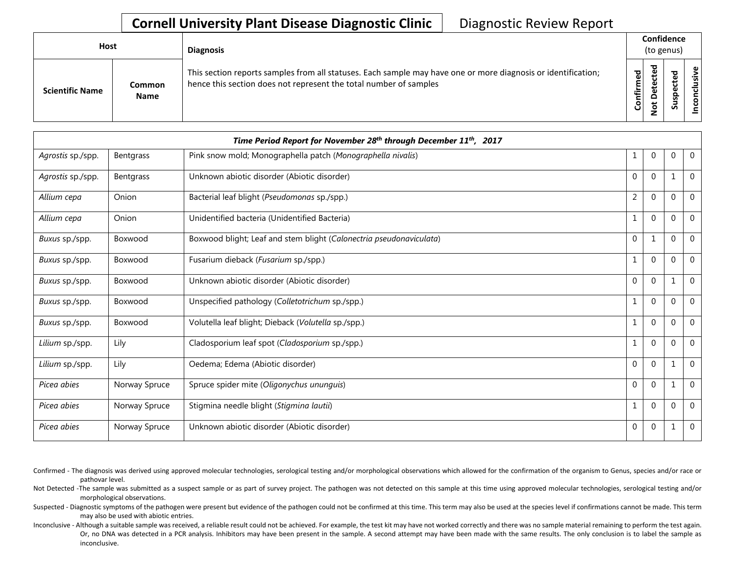## **Cornell University Plant Disease Diagnostic Clinic** | Diagnostic Review Report

| <b>Host</b>            |                       | <b>Diagnosis</b>                                                                                                                                                                   | Confidence<br>(to genus) |                  |   |                           |
|------------------------|-----------------------|------------------------------------------------------------------------------------------------------------------------------------------------------------------------------------|--------------------------|------------------|---|---------------------------|
| <b>Scientific Name</b> | Common<br><b>Name</b> | This section reports samples from all statuses. Each sample may have one or more diagnosis or identification;<br>hence this section does not represent the total number of samples | Confirmed                | ъ<br>Δ<br>پ<br>ۊ | ທ | ω<br>usiv<br>᠊ᠣ<br>š<br>S |

|                   | Time Period Report for November 28 <sup>th</sup> through December 11 <sup>th</sup> , 2017 |                                                                     |                |              |              |                |  |
|-------------------|-------------------------------------------------------------------------------------------|---------------------------------------------------------------------|----------------|--------------|--------------|----------------|--|
| Agrostis sp./spp. | Bentgrass                                                                                 | Pink snow mold; Monographella patch (Monographella nivalis)         | 1              | $\mathbf{0}$ | 0            | $\overline{0}$ |  |
| Agrostis sp./spp. | Bentgrass                                                                                 | Unknown abiotic disorder (Abiotic disorder)                         | $\mathbf{0}$   | $\mathbf{0}$ | 1            | $\mathbf 0$    |  |
| Allium cepa       | Onion                                                                                     | Bacterial leaf blight (Pseudomonas sp./spp.)                        | $\overline{2}$ | $\Omega$     | $\mathbf{0}$ | $\mathbf 0$    |  |
| Allium cepa       | Onion                                                                                     | Unidentified bacteria (Unidentified Bacteria)                       | 1              | $\mathbf 0$  | $\Omega$     | $\Omega$       |  |
| Buxus sp./spp.    | Boxwood                                                                                   | Boxwood blight; Leaf and stem blight (Calonectria pseudonaviculata) | $\mathbf{0}$   | 1            | $\mathbf{0}$ | $\mathbf 0$    |  |
| Buxus sp./spp.    | Boxwood                                                                                   | Fusarium dieback (Fusarium sp./spp.)                                | $\mathbf{1}$   | $\mathbf{0}$ | $\Omega$     | $\mathbf 0$    |  |
| Buxus sp./spp.    | Boxwood                                                                                   | Unknown abiotic disorder (Abiotic disorder)                         | $\mathbf{0}$   | $\mathbf{0}$ | 1            | $\mathbf 0$    |  |
| Buxus sp./spp.    | Boxwood                                                                                   | Unspecified pathology (Colletotrichum sp./spp.)                     | 1              | $\mathbf 0$  | $\Omega$     | $\mathbf 0$    |  |
| Buxus sp./spp.    | Boxwood                                                                                   | Volutella leaf blight; Dieback (Volutella sp./spp.)                 |                | $\Omega$     | $\Omega$     | $\overline{0}$ |  |
| Lilium sp./spp.   | Lily                                                                                      | Cladosporium leaf spot (Cladosporium sp./spp.)                      | $\mathbf{1}$   | $\theta$     | $\Omega$     | $\Omega$       |  |
| Lilium sp./spp.   | Lily                                                                                      | Oedema; Edema (Abiotic disorder)                                    | $\mathbf{0}$   | $\mathbf{0}$ | 1            | $\mathbf 0$    |  |
| Picea abies       | Norway Spruce                                                                             | Spruce spider mite (Oligonychus ununguis)                           | $\mathbf{0}$   | $\Omega$     | $\mathbf{1}$ | $\overline{0}$ |  |
| Picea abies       | Norway Spruce                                                                             | Stigmina needle blight (Stigmina lautii)                            | 1              | $\mathbf{0}$ | $\Omega$     | $\Omega$       |  |
| Picea abies       | Norway Spruce                                                                             | Unknown abiotic disorder (Abiotic disorder)                         | $\mathbf 0$    | $\mathbf 0$  | 1            | $\overline{0}$ |  |

- Confirmed The diagnosis was derived using approved molecular technologies, serological testing and/or morphological observations which allowed for the confirmation of the organism to Genus, species and/or race or pathovar level.
- Not Detected -The sample was submitted as a suspect sample or as part of survey project. The pathogen was not detected on this sample at this time using approved molecular technologies, serological testing and/or morphological observations.
- Suspected Diagnostic symptoms of the pathogen were present but evidence of the pathogen could not be confirmed at this time. This term may also be used at the species level if confirmations cannot be made. This term may also be used with abiotic entries.
- Inconclusive Although a suitable sample was received, a reliable result could not be achieved. For example, the test kit may have not worked correctly and there was no sample material remaining to perform the test again. Or, no DNA was detected in a PCR analysis. Inhibitors may have been present in the sample. A second attempt may have been made with the same results. The only conclusion is to label the sample as inconclusive.